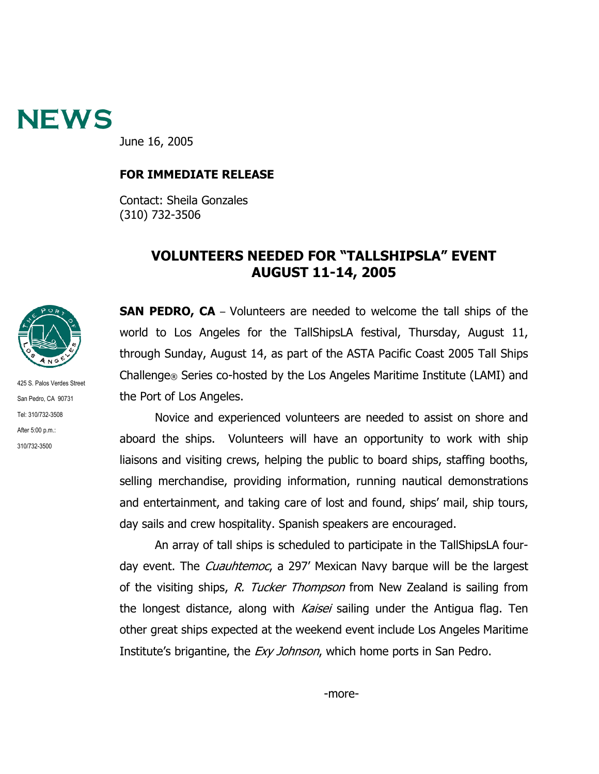

June 16, 2005

## **FOR IMMEDIATE RELEASE**

Contact: Sheila Gonzales (310) 732-3506

## **VOLUNTEERS NEEDED FOR "TALLSHIPSLA" EVENT AUGUST 11-14, 2005**



425 S. Palos Verdes Street San Pedro, CA 90731 Tel: 310/732-3508 After 5:00 p.m.: 310/732-3500

**SAN PEDRO, CA** – Volunteers are needed to welcome the tall ships of the world to Los Angeles for the TallShipsLA festival, Thursday, August 11, through Sunday, August 14, as part of the ASTA Pacific Coast 2005 Tall Ships Challenge® Series co-hosted by the Los Angeles Maritime Institute (LAMI) and the Port of Los Angeles.

Novice and experienced volunteers are needed to assist on shore and aboard the ships. Volunteers will have an opportunity to work with ship liaisons and visiting crews, helping the public to board ships, staffing booths, selling merchandise, providing information, running nautical demonstrations and entertainment, and taking care of lost and found, ships' mail, ship tours, day sails and crew hospitality. Spanish speakers are encouraged.

An array of tall ships is scheduled to participate in the TallShipsLA fourday event. The *Cuauhtemoc*, a 297' Mexican Navy barque will be the largest of the visiting ships, R. Tucker Thompson from New Zealand is sailing from the longest distance, along with *Kaisei* sailing under the Antigua flag. Ten other great ships expected at the weekend event include Los Angeles Maritime Institute's brigantine, the *Exy Johnson*, which home ports in San Pedro.